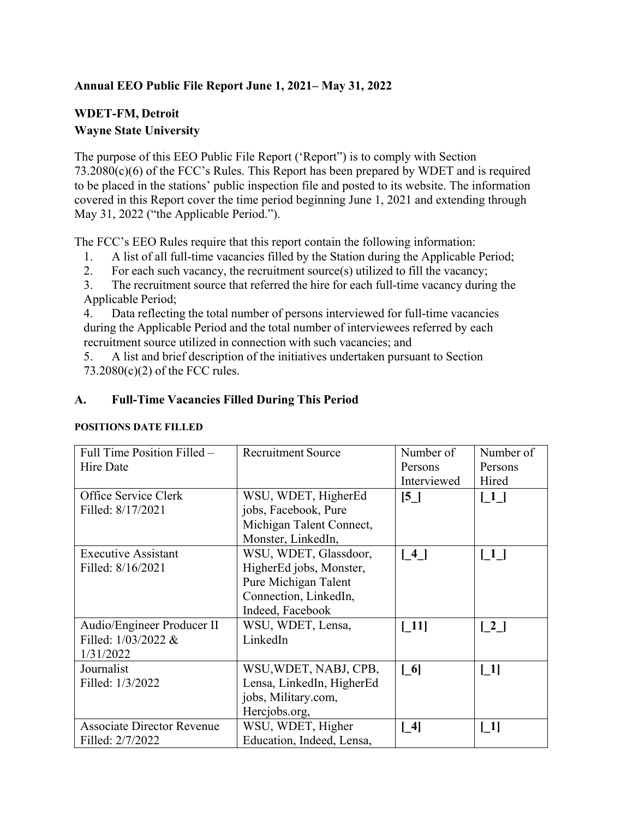### **Annual EEO Public File Report June 1, 2021– May 31, 2022**

# **WDET-FM, Detroit Wayne State University**

The purpose of this EEO Public File Report ('Report") is to comply with Section 73.2080(c)(6) of the FCC's Rules. This Report has been prepared by WDET and is required to be placed in the stations' public inspection file and posted to its website. The information covered in this Report cover the time period beginning June 1, 2021 and extending through May 31, 2022 ("the Applicable Period.").

The FCC's EEO Rules require that this report contain the following information:

- 1. A list of all full-time vacancies filled by the Station during the Applicable Period;
- 2. For each such vacancy, the recruitment source(s) utilized to fill the vacancy;

3. The recruitment source that referred the hire for each full-time vacancy during the Applicable Period;

4. Data reflecting the total number of persons interviewed for full-time vacancies during the Applicable Period and the total number of interviewees referred by each recruitment source utilized in connection with such vacancies; and

5. A list and brief description of the initiatives undertaken pursuant to Section 73.2080(c)(2) of the FCC rules.

#### **A. Full-Time Vacancies Filled During This Period**

#### **POSITIONS DATE FILLED**

| Full Time Position Filled -       | <b>Recruitment Source</b> | Number of                         | Number of                         |
|-----------------------------------|---------------------------|-----------------------------------|-----------------------------------|
| <b>Hire Date</b>                  |                           | Persons                           | Persons                           |
|                                   |                           | Interviewed                       | Hired                             |
| Office Service Clerk              | WSU, WDET, HigherEd       | [5]                               | $\begin{bmatrix} 1 \end{bmatrix}$ |
| Filled: 8/17/2021                 | jobs, Facebook, Pure      |                                   |                                   |
|                                   | Michigan Talent Connect,  |                                   |                                   |
|                                   | Monster, LinkedIn,        |                                   |                                   |
| <b>Executive Assistant</b>        | WSU, WDET, Glassdoor,     | $\lceil 4 \rceil$                 | $\lceil 1 \rceil$                 |
| Filled: 8/16/2021                 | HigherEd jobs, Monster,   |                                   |                                   |
|                                   | Pure Michigan Talent      |                                   |                                   |
|                                   | Connection, LinkedIn,     |                                   |                                   |
|                                   | Indeed, Facebook          |                                   |                                   |
| Audio/Engineer Producer II        | WSU, WDET, Lensa,         | $\lceil 11 \rceil$                | $\begin{bmatrix} 2 \end{bmatrix}$ |
| Filled: 1/03/2022 &               | LinkedIn                  |                                   |                                   |
| 1/31/2022                         |                           |                                   |                                   |
| Journalist                        | WSU, WDET, NABJ, CPB,     | $\begin{bmatrix} 6 \end{bmatrix}$ | $\lceil 1 \rceil$                 |
| Filled: 1/3/2022                  | Lensa, LinkedIn, HigherEd |                                   |                                   |
|                                   | jobs, Military.com,       |                                   |                                   |
|                                   | Hercjobs.org,             |                                   |                                   |
| <b>Associate Director Revenue</b> | WSU, WDET, Higher         | $[4]$                             | $\lceil 1 \rceil$                 |
| Filled: 2/7/2022                  | Education, Indeed, Lensa, |                                   |                                   |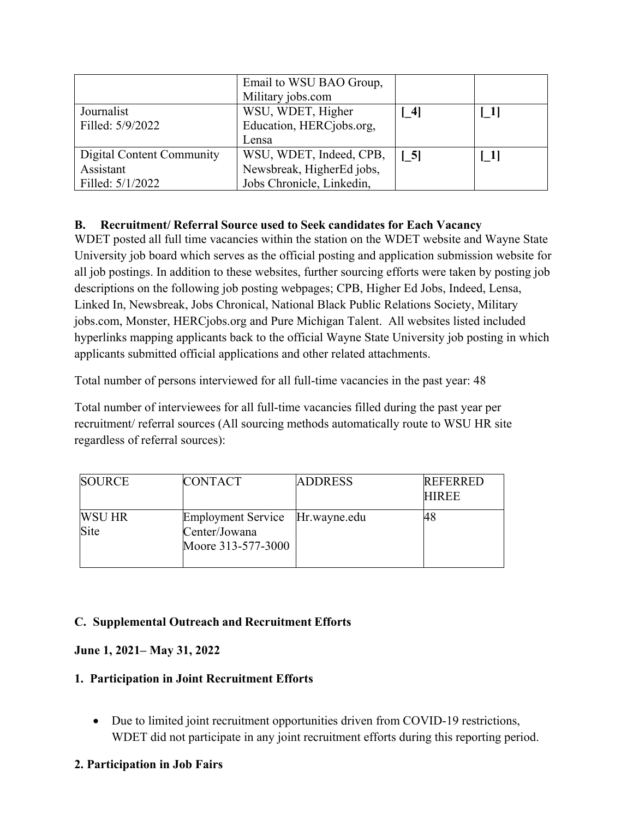|                           | Email to WSU BAO Group,<br>Military jobs.com |                                                        |                   |
|---------------------------|----------------------------------------------|--------------------------------------------------------|-------------------|
| Journalist                | WSU, WDET, Higher                            | $\lceil 1 \rceil$<br>$\begin{bmatrix} 4 \end{bmatrix}$ |                   |
| Filled: 5/9/2022          | Education, HERCjobs.org,                     |                                                        |                   |
|                           | Lensa                                        |                                                        |                   |
| Digital Content Community | WSU, WDET, Indeed, CPB,                      | $\begin{bmatrix} 5 \end{bmatrix}$                      | $\lceil 1 \rceil$ |
| Assistant                 | Newsbreak, HigherEd jobs,                    |                                                        |                   |
| Filled: 5/1/2022          | Jobs Chronicle, Linkedin,                    |                                                        |                   |

# **B. Recruitment/ Referral Source used to Seek candidates for Each Vacancy**

WDET posted all full time vacancies within the station on the WDET website and Wayne State University job board which serves as the official posting and application submission website for all job postings. In addition to these websites, further sourcing efforts were taken by posting job descriptions on the following job posting webpages; CPB, Higher Ed Jobs, Indeed, Lensa, Linked In, Newsbreak, Jobs Chronical, National Black Public Relations Society, Military jobs.com, Monster, HERCjobs.org and Pure Michigan Talent. All websites listed included hyperlinks mapping applicants back to the official Wayne State University job posting in which applicants submitted official applications and other related attachments.

Total number of persons interviewed for all full-time vacancies in the past year: 48

Total number of interviewees for all full-time vacancies filled during the past year per recruitment/ referral sources (All sourcing methods automatically route to WSU HR site regardless of referral sources):

| SOURCE                | <b>CONTACT</b>                                                         | <b>ADDRESS</b> | <b>REFERRED</b><br><b>HIREE</b> |
|-----------------------|------------------------------------------------------------------------|----------------|---------------------------------|
| <b>WSU HR</b><br>Site | Employment Service Hr.wayne.edu<br>Center/Jowana<br>Moore 313-577-3000 |                | 48                              |

# **C. Supplemental Outreach and Recruitment Efforts**

### **June 1, 2021– May 31, 2022**

### **1. Participation in Joint Recruitment Efforts**

 Due to limited joint recruitment opportunities driven from COVID-19 restrictions, WDET did not participate in any joint recruitment efforts during this reporting period.

### **2. Participation in Job Fairs**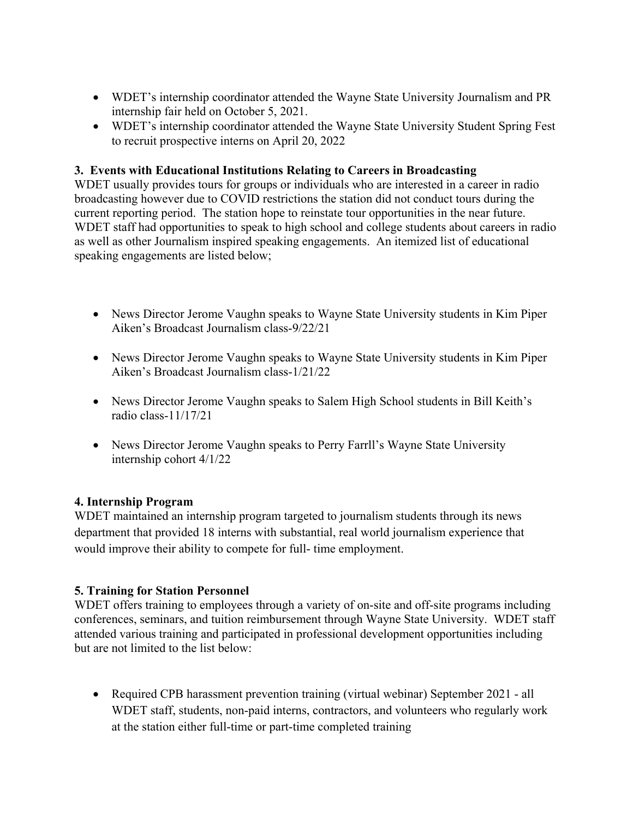- WDET's internship coordinator attended the Wayne State University Journalism and PR internship fair held on October 5, 2021.
- WDET's internship coordinator attended the Wayne State University Student Spring Fest to recruit prospective interns on April 20, 2022

### **3. Events with Educational Institutions Relating to Careers in Broadcasting**

WDET usually provides tours for groups or individuals who are interested in a career in radio broadcasting however due to COVID restrictions the station did not conduct tours during the current reporting period. The station hope to reinstate tour opportunities in the near future. WDET staff had opportunities to speak to high school and college students about careers in radio as well as other Journalism inspired speaking engagements. An itemized list of educational speaking engagements are listed below;

- News Director Jerome Vaughn speaks to Wayne State University students in Kim Piper Aiken's Broadcast Journalism class-9/22/21
- News Director Jerome Vaughn speaks to Wayne State University students in Kim Piper Aiken's Broadcast Journalism class-1/21/22
- News Director Jerome Vaughn speaks to Salem High School students in Bill Keith's radio class-11/17/21
- News Director Jerome Vaughn speaks to Perry Farrll's Wayne State University internship cohort 4/1/22

### **4. Internship Program**

WDET maintained an internship program targeted to journalism students through its news department that provided 18 interns with substantial, real world journalism experience that would improve their ability to compete for full- time employment.

# **5. Training for Station Personnel**

WDET offers training to employees through a variety of on-site and off-site programs including conferences, seminars, and tuition reimbursement through Wayne State University. WDET staff attended various training and participated in professional development opportunities including but are not limited to the list below:

• Required CPB harassment prevention training (virtual webinar) September 2021 - all WDET staff, students, non-paid interns, contractors, and volunteers who regularly work at the station either full-time or part-time completed training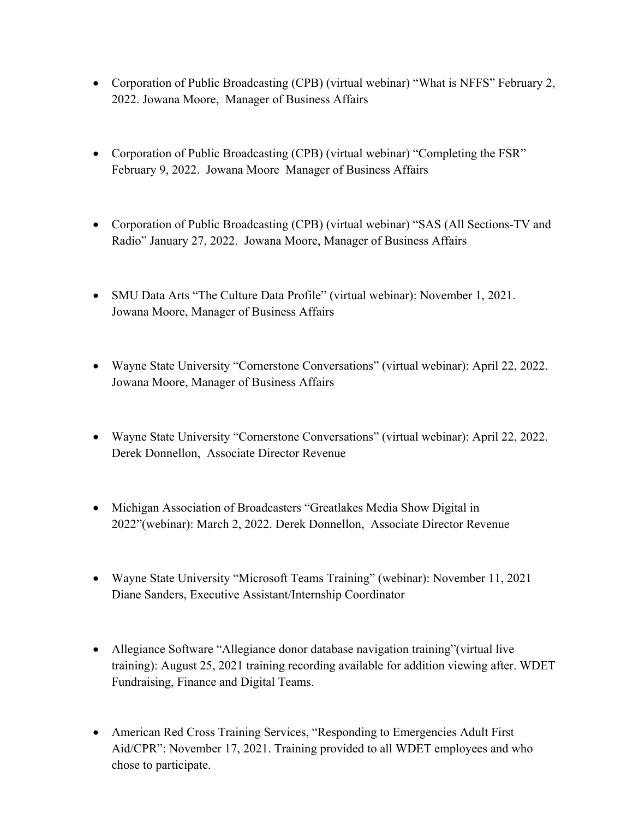- Corporation of Public Broadcasting (CPB) (virtual webinar) "What is NFFS" February 2, 2022. Jowana Moore, Manager of Business Affairs
- Corporation of Public Broadcasting (CPB) (virtual webinar) "Completing the FSR" February 9, 2022. Jowana Moore Manager of Business Affairs
- Corporation of Public Broadcasting (CPB) (virtual webinar) "SAS (All Sections-TV and Radio" January 27, 2022. Jowana Moore, Manager of Business Affairs
- SMU Data Arts "The Culture Data Profile" (virtual webinar): November 1, 2021. Jowana Moore, Manager of Business Affairs
- Wayne State University "Cornerstone Conversations" (virtual webinar): April 22, 2022. Jowana Moore, Manager of Business Affairs
- Wayne State University "Cornerstone Conversations" (virtual webinar): April 22, 2022. Derek Donnellon, Associate Director Revenue
- Michigan Association of Broadcasters "Greatlakes Media Show Digital in 2022"(webinar): March 2, 2022. Derek Donnellon, Associate Director Revenue
- Wayne State University "Microsoft Teams Training" (webinar): November 11, 2021 Diane Sanders, Executive Assistant/Internship Coordinator
- Allegiance Software "Allegiance donor database navigation training"(virtual live training): August 25, 2021 training recording available for addition viewing after. WDET Fundraising, Finance and Digital Teams.
- American Red Cross Training Services, "Responding to Emergencies Adult First Aid/CPR": November 17, 2021. Training provided to all WDET employees and who chose to participate.